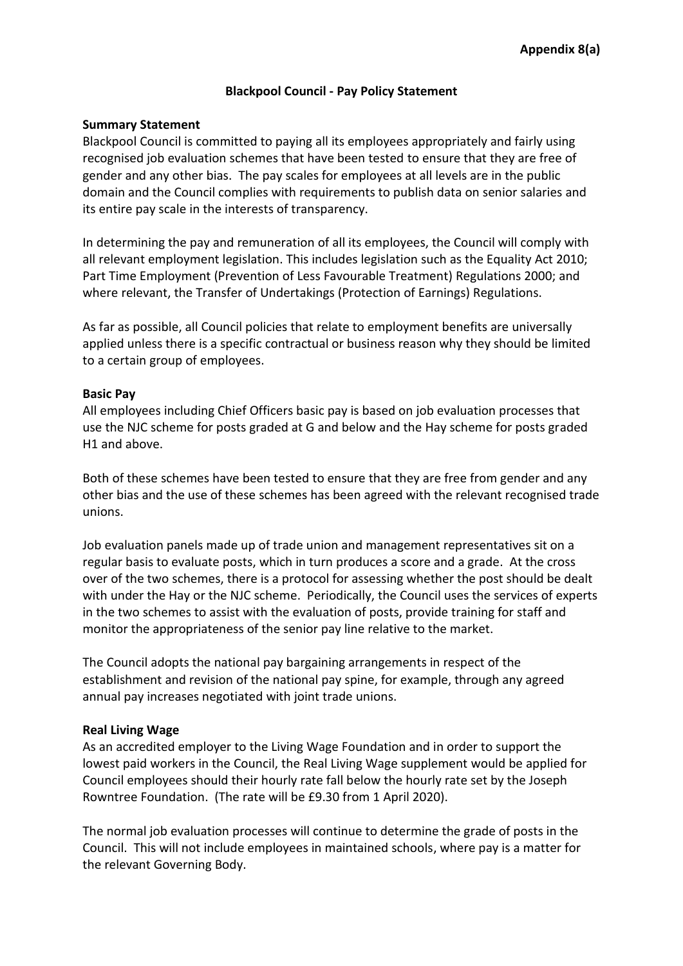# **Blackpool Council - Pay Policy Statement**

### **Summary Statement**

Blackpool Council is committed to paying all its employees appropriately and fairly using recognised job evaluation schemes that have been tested to ensure that they are free of gender and any other bias. The pay scales for employees at all levels are in the public domain and the Council complies with requirements to publish data on senior salaries and its entire pay scale in the interests of transparency.

In determining the pay and remuneration of all its employees, the Council will comply with all relevant employment legislation. This includes legislation such as the Equality Act 2010; Part Time Employment (Prevention of Less Favourable Treatment) Regulations 2000; and where relevant, the Transfer of Undertakings (Protection of Earnings) Regulations.

As far as possible, all Council policies that relate to employment benefits are universally applied unless there is a specific contractual or business reason why they should be limited to a certain group of employees.

### **Basic Pay**

All employees including Chief Officers basic pay is based on job evaluation processes that use the NJC scheme for posts graded at G and below and the Hay scheme for posts graded H1 and above.

Both of these schemes have been tested to ensure that they are free from gender and any other bias and the use of these schemes has been agreed with the relevant recognised trade unions.

Job evaluation panels made up of trade union and management representatives sit on a regular basis to evaluate posts, which in turn produces a score and a grade. At the cross over of the two schemes, there is a protocol for assessing whether the post should be dealt with under the Hay or the NJC scheme. Periodically, the Council uses the services of experts in the two schemes to assist with the evaluation of posts, provide training for staff and monitor the appropriateness of the senior pay line relative to the market.

The Council adopts the national pay bargaining arrangements in respect of the establishment and revision of the national pay spine, for example, through any agreed annual pay increases negotiated with joint trade unions.

## **Real Living Wage**

As an accredited employer to the Living Wage Foundation and in order to support the lowest paid workers in the Council, the Real Living Wage supplement would be applied for Council employees should their hourly rate fall below the hourly rate set by the Joseph Rowntree Foundation. (The rate will be £9.30 from 1 April 2020).

The normal job evaluation processes will continue to determine the grade of posts in the Council. This will not include employees in maintained schools, where pay is a matter for the relevant Governing Body.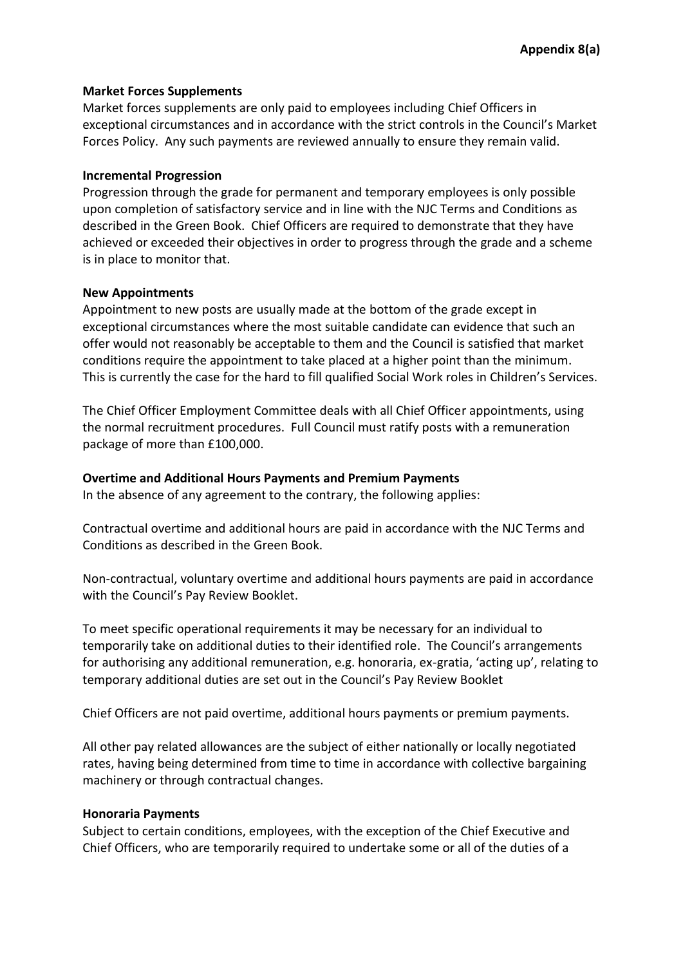## **Market Forces Supplements**

Market forces supplements are only paid to employees including Chief Officers in exceptional circumstances and in accordance with the strict controls in the Council's Market Forces Policy. Any such payments are reviewed annually to ensure they remain valid.

# **Incremental Progression**

Progression through the grade for permanent and temporary employees is only possible upon completion of satisfactory service and in line with the NJC Terms and Conditions as described in the Green Book. Chief Officers are required to demonstrate that they have achieved or exceeded their objectives in order to progress through the grade and a scheme is in place to monitor that.

# **New Appointments**

Appointment to new posts are usually made at the bottom of the grade except in exceptional circumstances where the most suitable candidate can evidence that such an offer would not reasonably be acceptable to them and the Council is satisfied that market conditions require the appointment to take placed at a higher point than the minimum. This is currently the case for the hard to fill qualified Social Work roles in Children's Services.

The Chief Officer Employment Committee deals with all Chief Officer appointments, using the normal recruitment procedures. Full Council must ratify posts with a remuneration package of more than £100,000.

# **Overtime and Additional Hours Payments and Premium Payments**

In the absence of any agreement to the contrary, the following applies:

Contractual overtime and additional hours are paid in accordance with the NJC Terms and Conditions as described in the Green Book.

Non-contractual, voluntary overtime and additional hours payments are paid in accordance with the Council's Pay Review Booklet.

To meet specific operational requirements it may be necessary for an individual to temporarily take on additional duties to their identified role. The Council's arrangements for authorising any additional remuneration, e.g. honoraria, ex-gratia, 'acting up', relating to temporary additional duties are set out in the Council's Pay Review Booklet

Chief Officers are not paid overtime, additional hours payments or premium payments.

All other pay related allowances are the subject of either nationally or locally negotiated rates, having being determined from time to time in accordance with collective bargaining machinery or through contractual changes.

# **Honoraria Payments**

Subject to certain conditions, employees, with the exception of the Chief Executive and Chief Officers, who are temporarily required to undertake some or all of the duties of a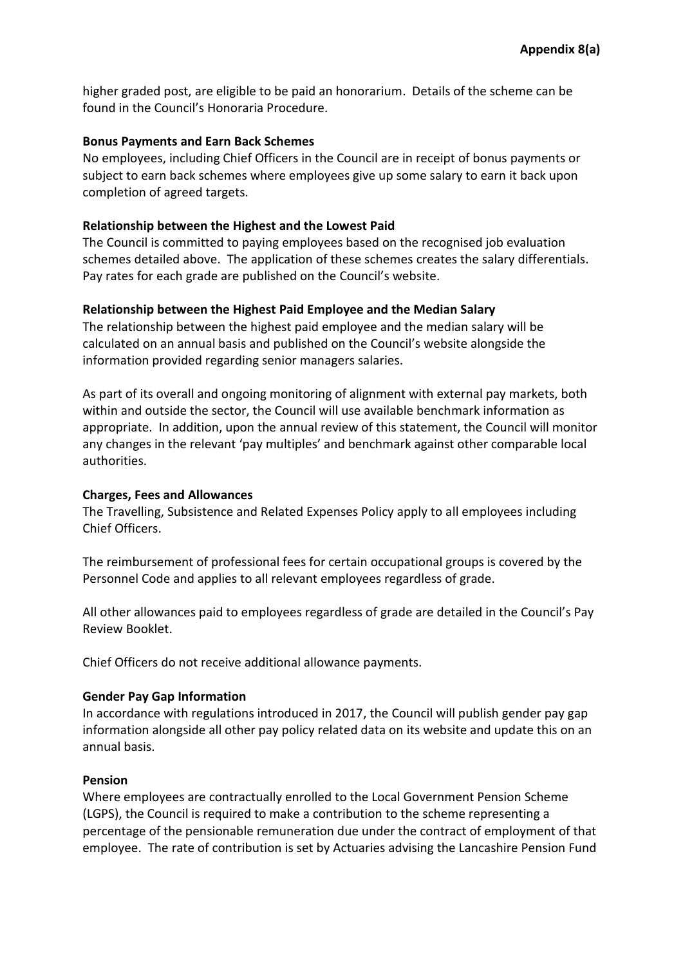higher graded post, are eligible to be paid an honorarium. Details of the scheme can be found in the Council's Honoraria Procedure.

### **Bonus Payments and Earn Back Schemes**

No employees, including Chief Officers in the Council are in receipt of bonus payments or subject to earn back schemes where employees give up some salary to earn it back upon completion of agreed targets.

### **Relationship between the Highest and the Lowest Paid**

The Council is committed to paying employees based on the recognised job evaluation schemes detailed above. The application of these schemes creates the salary differentials. Pay rates for each grade are published on the Council's website.

## **Relationship between the Highest Paid Employee and the Median Salary**

The relationship between the highest paid employee and the median salary will be calculated on an annual basis and published on the Council's website alongside the information provided regarding senior managers salaries.

As part of its overall and ongoing monitoring of alignment with external pay markets, both within and outside the sector, the Council will use available benchmark information as appropriate. In addition, upon the annual review of this statement, the Council will monitor any changes in the relevant 'pay multiples' and benchmark against other comparable local authorities.

#### **Charges, Fees and Allowances**

The Travelling, Subsistence and Related Expenses Policy apply to all employees including Chief Officers.

The reimbursement of professional fees for certain occupational groups is covered by the Personnel Code and applies to all relevant employees regardless of grade.

All other allowances paid to employees regardless of grade are detailed in the Council's Pay Review Booklet.

Chief Officers do not receive additional allowance payments.

#### **Gender Pay Gap Information**

In accordance with regulations introduced in 2017, the Council will publish gender pay gap information alongside all other pay policy related data on its website and update this on an annual basis.

#### **Pension**

Where employees are contractually enrolled to the Local Government Pension Scheme (LGPS), the Council is required to make a contribution to the scheme representing a percentage of the pensionable remuneration due under the contract of employment of that employee. The rate of contribution is set by Actuaries advising the Lancashire Pension Fund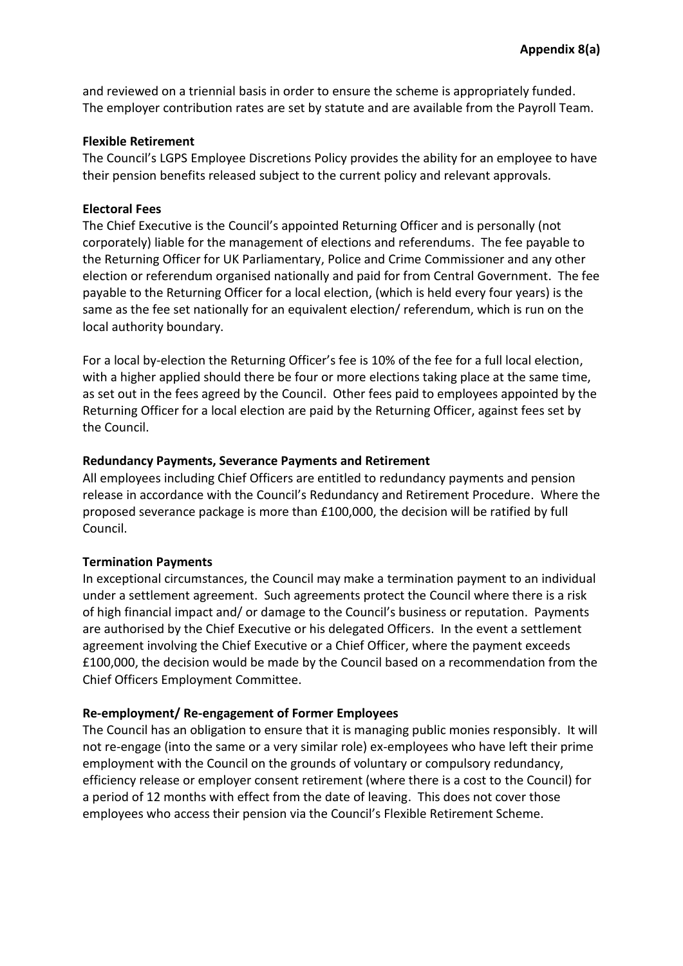and reviewed on a triennial basis in order to ensure the scheme is appropriately funded. The employer contribution rates are set by statute and are available from the Payroll Team.

### **Flexible Retirement**

The Council's LGPS Employee Discretions Policy provides the ability for an employee to have their pension benefits released subject to the current policy and relevant approvals.

### **Electoral Fees**

The Chief Executive is the Council's appointed Returning Officer and is personally (not corporately) liable for the management of elections and referendums. The fee payable to the Returning Officer for UK Parliamentary, Police and Crime Commissioner and any other election or referendum organised nationally and paid for from Central Government. The fee payable to the Returning Officer for a local election, (which is held every four years) is the same as the fee set nationally for an equivalent election/ referendum, which is run on the local authority boundary.

For a local by-election the Returning Officer's fee is 10% of the fee for a full local election, with a higher applied should there be four or more elections taking place at the same time, as set out in the fees agreed by the Council. Other fees paid to employees appointed by the Returning Officer for a local election are paid by the Returning Officer, against fees set by the Council.

### **Redundancy Payments, Severance Payments and Retirement**

All employees including Chief Officers are entitled to redundancy payments and pension release in accordance with the Council's Redundancy and Retirement Procedure. Where the proposed severance package is more than £100,000, the decision will be ratified by full Council.

## **Termination Payments**

In exceptional circumstances, the Council may make a termination payment to an individual under a settlement agreement. Such agreements protect the Council where there is a risk of high financial impact and/ or damage to the Council's business or reputation. Payments are authorised by the Chief Executive or his delegated Officers. In the event a settlement agreement involving the Chief Executive or a Chief Officer, where the payment exceeds £100,000, the decision would be made by the Council based on a recommendation from the Chief Officers Employment Committee.

## **Re-employment/ Re-engagement of Former Employees**

The Council has an obligation to ensure that it is managing public monies responsibly. It will not re-engage (into the same or a very similar role) ex-employees who have left their prime employment with the Council on the grounds of voluntary or compulsory redundancy, efficiency release or employer consent retirement (where there is a cost to the Council) for a period of 12 months with effect from the date of leaving. This does not cover those employees who access their pension via the Council's Flexible Retirement Scheme.